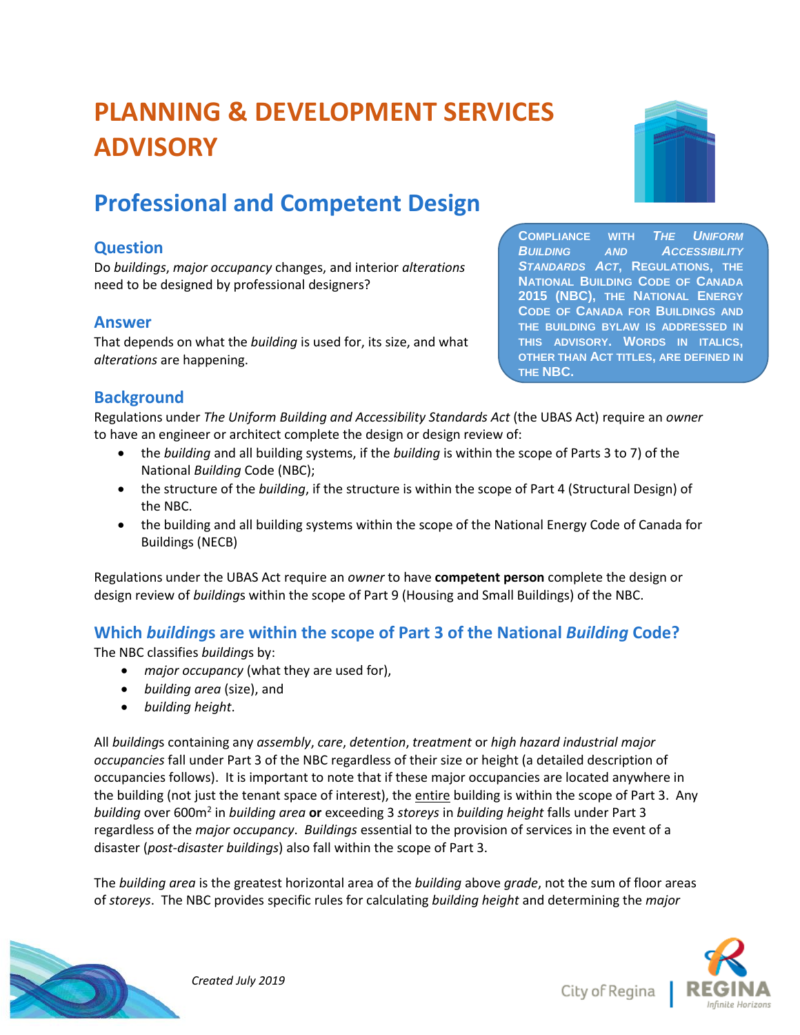# **PLANNING & DEVELOPMENT SERVICES ADVISORY**

## **Professional and Competent Design**

## **Question**

Do *buildings*, *major occupancy* changes, and interior *alterations* need to be designed by professional designers?

## **Answer**

That depends on what the *building* is used for, its size, and what *alterations* are happening.

**COMPLIANCE WITH** *THE UNIFORM BUILDING AND ACCESSIBILITY STANDARDS ACT***, REGULATIONS, THE NATIONAL BUILDING CODE OF CANADA 2015 (NBC), THE NATIONAL ENERGY CODE OF CANADA FOR BUILDINGS AND THE BUILDING BYLAW IS ADDRESSED IN THIS ADVISORY. WORDS IN ITALICS, OTHER THAN ACT TITLES, ARE DEFINED IN THE NBC.** 

## **Background**

Regulations under *The Uniform Building and Accessibility Standards Act* (the UBAS Act) require an *owner* to have an engineer or architect complete the design or design review of:

- the *building* and all building systems, if the *building* is within the scope of Parts 3 to 7) of the National *Building* Code (NBC);
- the structure of the *building*, if the structure is within the scope of Part 4 (Structural Design) of the NBC.
- the building and all building systems within the scope of the National Energy Code of Canada for Buildings (NECB)

Regulations under the UBAS Act require an *owner* to have **competent person** complete the design or design review of *building*s within the scope of Part 9 (Housing and Small Buildings) of the NBC.

## **Which** *building***s are within the scope of Part 3 of the National** *Building* **Code?**

The NBC classifies *building*s by:

- *major occupancy* (what they are used for),
- *building area* (size), and
- *building height*.

All *building*s containing any *assembly*, *care*, *detention*, *treatment* or *high hazard industrial major occupancies* fall under Part 3 of the NBC regardless of their size or height (a detailed description of occupancies follows). It is important to note that if these major occupancies are located anywhere in the building (not just the tenant space of interest), the entire building is within the scope of Part 3. Any *building* over 600m<sup>2</sup> in *building area* **or** exceeding 3 *storeys* in *building height* falls under Part 3 regardless of the *major occupancy*. *Buildings* essential to the provision of services in the event of a disaster (*post-disaster buildings*) also fall within the scope of Part 3.

The *building area* is the greatest horizontal area of the *building* above *grade*, not the sum of floor areas of *storeys*. The NBC provides specific rules for calculating *building height* and determining the *major* 



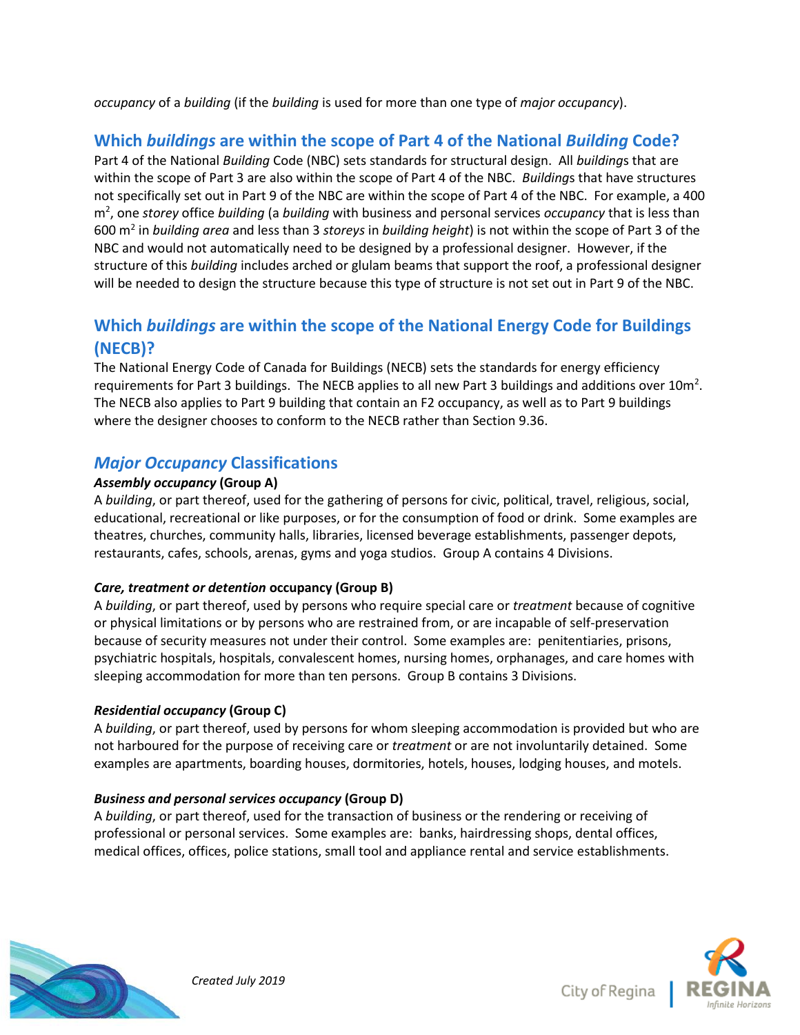*occupancy* of a *building* (if the *building* is used for more than one type of *major occupancy*).

## **Which** *buildings* **are within the scope of Part 4 of the National** *Building* **Code?**

Part 4 of the National *Building* Code (NBC) sets standards for structural design. All *building*s that are within the scope of Part 3 are also within the scope of Part 4 of the NBC. *Building*s that have structures not specifically set out in Part 9 of the NBC are within the scope of Part 4 of the NBC. For example, a 400 m<sup>2</sup> , one *storey* office *building* (a *building* with business and personal services *occupancy* that is less than 600 m<sup>2</sup> in *building area* and less than 3 *storeys* in *building height*) is not within the scope of Part 3 of the NBC and would not automatically need to be designed by a professional designer. However, if the structure of this *building* includes arched or glulam beams that support the roof, a professional designer will be needed to design the structure because this type of structure is not set out in Part 9 of the NBC.

## **Which** *buildings* **are within the scope of the National Energy Code for Buildings (NECB)?**

The National Energy Code of Canada for Buildings (NECB) sets the standards for energy efficiency requirements for Part 3 buildings. The NECB applies to all new Part 3 buildings and additions over 10m<sup>2</sup>. The NECB also applies to Part 9 building that contain an F2 occupancy, as well as to Part 9 buildings where the designer chooses to conform to the NECB rather than Section 9.36.

## *Major Occupancy* **Classifications**

#### *Assembly occupancy* **(Group A)**

A *building*, or part thereof, used for the gathering of persons for civic, political, travel, religious, social, educational, recreational or like purposes, or for the consumption of food or drink. Some examples are theatres, churches, community halls, libraries, licensed beverage establishments, passenger depots, restaurants, cafes, schools, arenas, gyms and yoga studios. Group A contains 4 Divisions.

#### *Care, treatment or detention* **occupancy (Group B)**

A *building*, or part thereof, used by persons who require special care or *treatment* because of cognitive or physical limitations or by persons who are restrained from, or are incapable of self-preservation because of security measures not under their control. Some examples are: penitentiaries, prisons, psychiatric hospitals, hospitals, convalescent homes, nursing homes, orphanages, and care homes with sleeping accommodation for more than ten persons. Group B contains 3 Divisions.

#### *Residential occupancy* **(Group C)**

A *building*, or part thereof, used by persons for whom sleeping accommodation is provided but who are not harboured for the purpose of receiving care or *treatment* or are not involuntarily detained. Some examples are apartments, boarding houses, dormitories, hotels, houses, lodging houses, and motels.

#### *Business and personal services occupancy* **(Group D)**

A *building*, or part thereof, used for the transaction of business or the rendering or receiving of professional or personal services. Some examples are: banks, hairdressing shops, dental offices, medical offices, offices, police stations, small tool and appliance rental and service establishments.





 *Created July 2019*

City of Regina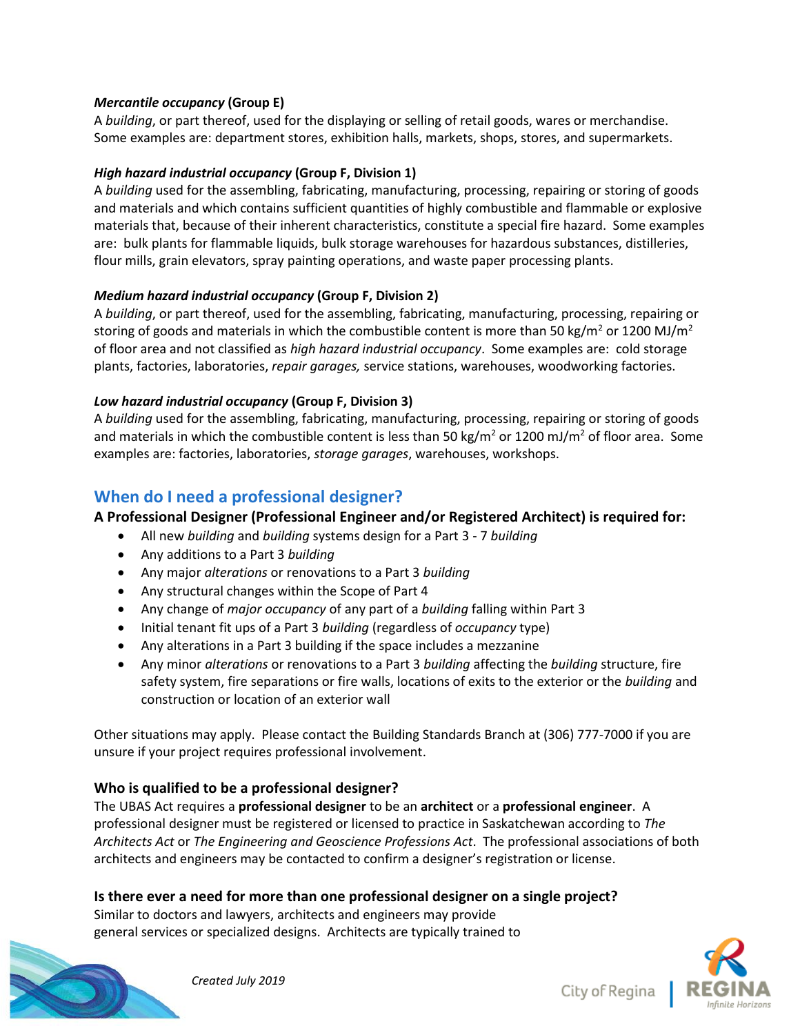#### *Mercantile occupancy* **(Group E)**

A *building*, or part thereof, used for the displaying or selling of retail goods, wares or merchandise. Some examples are: department stores, exhibition halls, markets, shops, stores, and supermarkets.

#### *High hazard industrial occupancy* **(Group F, Division 1)**

A *building* used for the assembling, fabricating, manufacturing, processing, repairing or storing of goods and materials and which contains sufficient quantities of highly combustible and flammable or explosive materials that, because of their inherent characteristics, constitute a special fire hazard. Some examples are: bulk plants for flammable liquids, bulk storage warehouses for hazardous substances, distilleries, flour mills, grain elevators, spray painting operations, and waste paper processing plants.

#### *Medium hazard industrial occupancy* **(Group F, Division 2)**

A *building*, or part thereof, used for the assembling, fabricating, manufacturing, processing, repairing or storing of goods and materials in which the combustible content is more than 50 kg/m<sup>2</sup> or 1200 MJ/m<sup>2</sup> of floor area and not classified as *high hazard industrial occupancy*. Some examples are: cold storage plants, factories, laboratories, *repair garages,* service stations, warehouses, woodworking factories.

#### *Low hazard industrial occupancy* **(Group F, Division 3)**

A *building* used for the assembling, fabricating, manufacturing, processing, repairing or storing of goods and materials in which the combustible content is less than 50 kg/m<sup>2</sup> or 1200 mJ/m<sup>2</sup> of floor area. Some examples are: factories, laboratories, *storage garages*, warehouses, workshops.

## **When do I need a professional designer?**

**A Professional Designer (Professional Engineer and/or Registered Architect) is required for:**

- All new *building* and *building* systems design for a Part 3 7 *building*
- Any additions to a Part 3 *building*
- Any major *alterations* or renovations to a Part 3 *building*
- Any structural changes within the Scope of Part 4
- Any change of *major occupancy* of any part of a *building* falling within Part 3
- Initial tenant fit ups of a Part 3 *building* (regardless of *occupancy* type)
- Any alterations in a Part 3 building if the space includes a mezzanine
- Any minor *alterations* or renovations to a Part 3 *building* affecting the *building* structure, fire safety system, fire separations or fire walls, locations of exits to the exterior or the *building* and construction or location of an exterior wall

Other situations may apply. Please contact the Building Standards Branch at (306) 777-7000 if you are unsure if your project requires professional involvement.

#### **Who is qualified to be a professional designer?**

The UBAS Act requires a **professional designer** to be an **architect** or a **professional engineer**. A professional designer must be registered or licensed to practice in Saskatchewan according to *The Architects Act* or *The Engineering and Geoscience Professions Act*. The professional associations of both architects and engineers may be contacted to confirm a designer's registration or license.

#### **Is there ever a need for more than one professional designer on a single project?**

Similar to doctors and lawyers, architects and engineers may provide general services or specialized designs. Architects are typically trained to